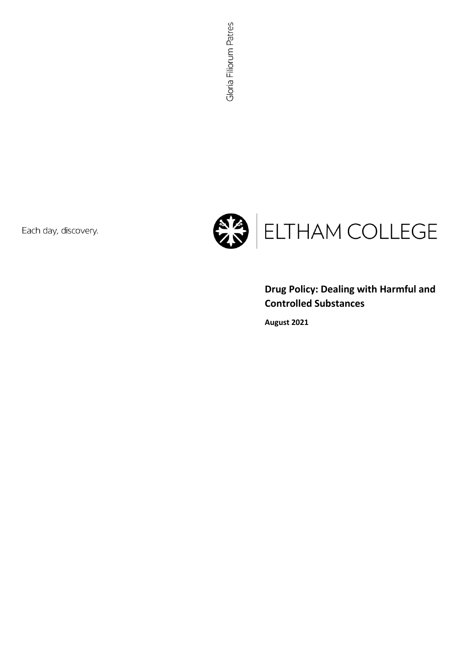Each day, discovery.



# **Drug Policy: Dealing with Harmful and Controlled Substances**

**August 2021**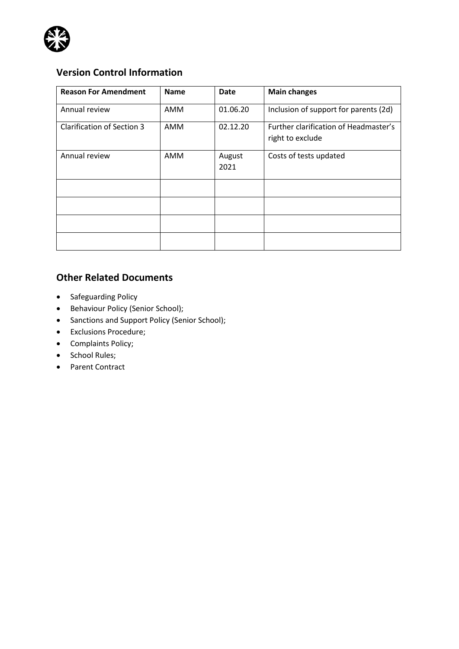

# **Version Control Information**

| <b>Reason For Amendment</b> | <b>Name</b> | Date           | <b>Main changes</b>                                       |
|-----------------------------|-------------|----------------|-----------------------------------------------------------|
| Annual review               | AMM         | 01.06.20       | Inclusion of support for parents (2d)                     |
| Clarification of Section 3  | AMM         | 02.12.20       | Further clarification of Headmaster's<br>right to exclude |
| Annual review               | AMM         | August<br>2021 | Costs of tests updated                                    |
|                             |             |                |                                                           |
|                             |             |                |                                                           |
|                             |             |                |                                                           |
|                             |             |                |                                                           |

### **Other Related Documents**

- Safeguarding Policy
- Behaviour Policy (Senior School);
- Sanctions and Support Policy (Senior School);
- Exclusions Procedure;
- Complaints Policy;
- School Rules;
- Parent Contract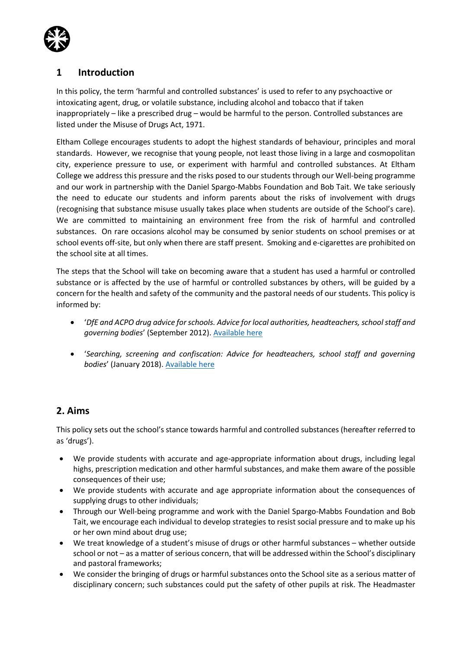

### **1 Introduction**

In this policy, the term 'harmful and controlled substances' is used to refer to any psychoactive or intoxicating agent, drug, or volatile substance, including alcohol and tobacco that if taken inappropriately – like a prescribed drug – would be harmful to the person. Controlled substances are listed under the Misuse of Drugs Act, 1971.

Eltham College encourages students to adopt the highest standards of behaviour, principles and moral standards. However, we recognise that young people, not least those living in a large and cosmopolitan city, experience pressure to use, or experiment with harmful and controlled substances. At Eltham College we address this pressure and the risks posed to our students through our Well-being programme and our work in partnership with the Daniel Spargo-Mabbs Foundation and Bob Tait. We take seriously the need to educate our students and inform parents about the risks of involvement with drugs (recognising that substance misuse usually takes place when students are outside of the School's care). We are committed to maintaining an environment free from the risk of harmful and controlled substances. On rare occasions alcohol may be consumed by senior students on school premises or at school events off-site, but only when there are staff present. Smoking and e-cigarettes are prohibited on the school site at all times.

The steps that the School will take on becoming aware that a student has used a harmful or controlled substance or is affected by the use of harmful or controlled substances by others, will be guided by a concern for the health and safety of the community and the pastoral needs of our students. This policy is informed by:

- '*DfE and ACPO drug advice for schools. Advice for local authorities, headteachers, school staff and governing bodies*' (September 2012). [Available here](https://assets.publishing.service.gov.uk/government/uploads/system/uploads/attachment_data/file/270169/drug_advice_for_schools.pdf)
- '*Searching, screening and confiscation: Advice for headteachers, school staff and governing bodies*' (January 2018). [Available here](https://assets.publishing.service.gov.uk/government/uploads/system/uploads/attachment_data/file/674416/Searching_screening_and_confiscation.pdf)

### **2. Aims**

This policy sets out the school's stance towards harmful and controlled substances (hereafter referred to as 'drugs').

- We provide students with accurate and age-appropriate information about drugs, including legal highs, prescription medication and other harmful substances, and make them aware of the possible consequences of their use;
- We provide students with accurate and age appropriate information about the consequences of supplying drugs to other individuals;
- Through our Well-being programme and work with the Daniel Spargo-Mabbs Foundation and Bob Tait, we encourage each individual to develop strategies to resist social pressure and to make up his or her own mind about drug use;
- We treat knowledge of a student's misuse of drugs or other harmful substances whether outside school or not – as a matter of serious concern, that will be addressed within the School's disciplinary and pastoral frameworks;
- We consider the bringing of drugs or harmful substances onto the School site as a serious matter of disciplinary concern; such substances could put the safety of other pupils at risk. The Headmaster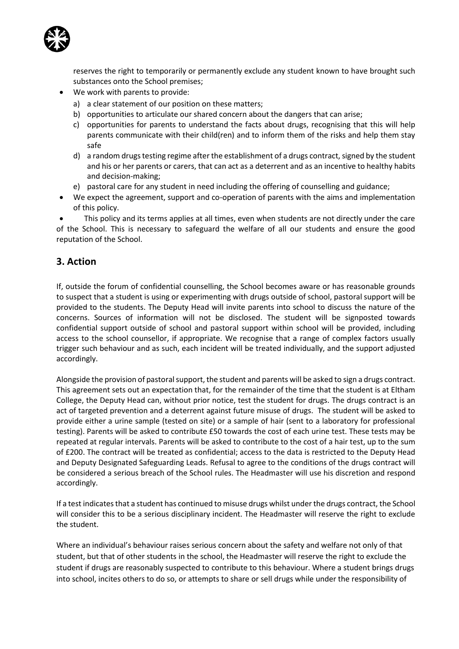

reserves the right to temporarily or permanently exclude any student known to have brought such substances onto the School premises;

- We work with parents to provide:
	- a) a clear statement of our position on these matters;
	- b) opportunities to articulate our shared concern about the dangers that can arise;
	- c) opportunities for parents to understand the facts about drugs, recognising that this will help parents communicate with their child(ren) and to inform them of the risks and help them stay safe
	- d) a random drugs testing regime after the establishment of a drugs contract, signed by the student and his or her parents or carers, that can act as a deterrent and as an incentive to healthy habits and decision-making;
	- e) pastoral care for any student in need including the offering of counselling and guidance;
- We expect the agreement, support and co-operation of parents with the aims and implementation of this policy.

This policy and its terms applies at all times, even when students are not directly under the care of the School. This is necessary to safeguard the welfare of all our students and ensure the good reputation of the School.

#### **3. Action**

If, outside the forum of confidential counselling, the School becomes aware or has reasonable grounds to suspect that a student is using or experimenting with drugs outside of school, pastoral support will be provided to the students. The Deputy Head will invite parents into school to discuss the nature of the concerns. Sources of information will not be disclosed. The student will be signposted towards confidential support outside of school and pastoral support within school will be provided, including access to the school counsellor, if appropriate. We recognise that a range of complex factors usually trigger such behaviour and as such, each incident will be treated individually, and the support adjusted accordingly.

Alongside the provision of pastoral support, the student and parents will be asked to sign a drugs contract. This agreement sets out an expectation that, for the remainder of the time that the student is at Eltham College, the Deputy Head can, without prior notice, test the student for drugs. The drugs contract is an act of targeted prevention and a deterrent against future misuse of drugs. The student will be asked to provide either a urine sample (tested on site) or a sample of hair (sent to a laboratory for professional testing). Parents will be asked to contribute £50 towards the cost of each urine test. These tests may be repeated at regular intervals. Parents will be asked to contribute to the cost of a hair test, up to the sum of £200. The contract will be treated as confidential; access to the data is restricted to the Deputy Head and Deputy Designated Safeguarding Leads. Refusal to agree to the conditions of the drugs contract will be considered a serious breach of the School rules. The Headmaster will use his discretion and respond accordingly.

If a test indicates that a student has continued to misuse drugs whilst under the drugs contract, the School will consider this to be a serious disciplinary incident. The Headmaster will reserve the right to exclude the student.

Where an individual's behaviour raises serious concern about the safety and welfare not only of that student, but that of other students in the school, the Headmaster will reserve the right to exclude the student if drugs are reasonably suspected to contribute to this behaviour. Where a student brings drugs into school, incites others to do so, or attempts to share or sell drugs while under the responsibility of